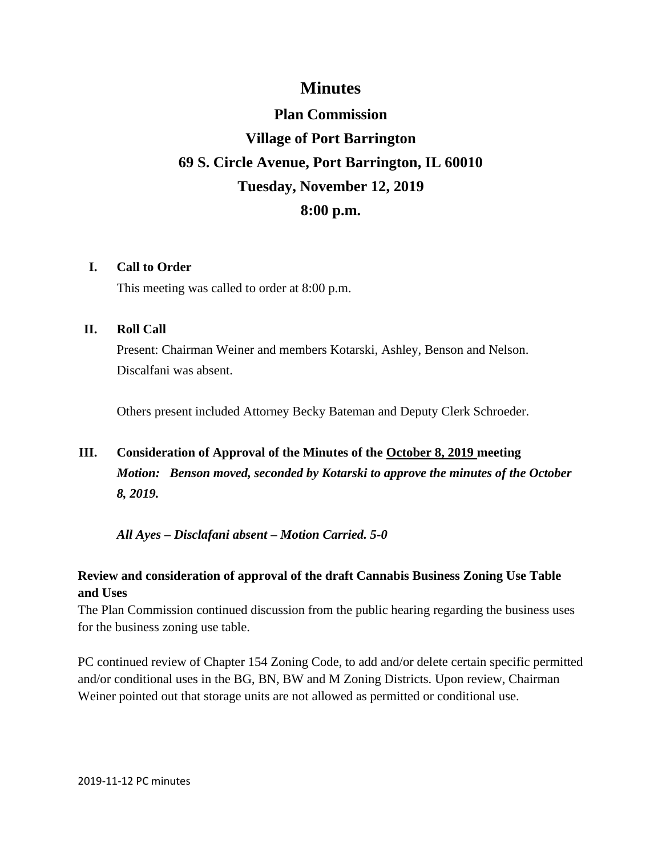### **Minutes**

# **Plan Commission Village of Port Barrington 69 S. Circle Avenue, Port Barrington, IL 60010 Tuesday, November 12, 2019 8:00 p.m.**

#### **I. Call to Order**

This meeting was called to order at 8:00 p.m.

#### **II. Roll Call**

Present: Chairman Weiner and members Kotarski, Ashley, Benson and Nelson. Discalfani was absent.

Others present included Attorney Becky Bateman and Deputy Clerk Schroeder.

## **III. Consideration of Approval of the Minutes of the October 8, 2019 meeting** *Motion: Benson moved, seconded by Kotarski to approve the minutes of the October 8, 2019.*

*All Ayes – Disclafani absent – Motion Carried. 5-0*

#### **Review and consideration of approval of the draft Cannabis Business Zoning Use Table and Uses**

The Plan Commission continued discussion from the public hearing regarding the business uses for the business zoning use table.

PC continued review of Chapter 154 Zoning Code, to add and/or delete certain specific permitted and/or conditional uses in the BG, BN, BW and M Zoning Districts. Upon review, Chairman Weiner pointed out that storage units are not allowed as permitted or conditional use.